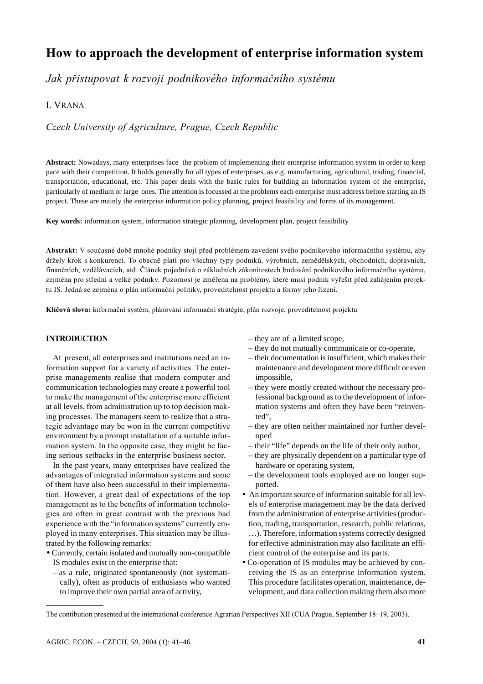# How to approach the development of enterprise information system

Jak přistupovat k rozvoji podnikového informačního systému

I. VRANA

Czech University of Agriculture, Prague, Czech Republic

**Abstract:** Nowadays, many enterprises face the problem of implementing their enterprise information system in order to keep pace with their competition. It holds generally for all types of enterprises, as e.g. manufacturing, agricultural, trading, financial, transportation, educational, etc. This paper deals with the basic rules for building an information system of the enterprise, particularly of medium or large ones. The attention is focussed at the problems each enterprise must address before starting an IS project. These are mainly the enterprise information policy planning, project feasibility and forms of its management.

**Key words:** information system, information strategic planning, development plan, project feasibility

Abstrakt: V současné době mnohé podniky stojí před problémem zavedení svého podnikového informačního systému, aby držely krok s konkurencí. To obecně platí pro všechny typy podniků, výrobních, zemědělských, obchodních, dopravních, finančních, vzdělávacích, atd. Článek pojednává o základních zákonitostech budování podnikového informačního systému, zejména pro střední a velké podniky. Pozornost je změřena na problémy, které musí podnik vyřešit před zahájením projektu IS. Jedná se zejména o plán informační politiky, proveditelnost projektu a formy jeho řízení.

Klíčová slova: informační systém, plánování informační stratégie, plán rozvoje, proveditelnost projektu

## **INTRODUCTION**

At present, all enterprises and institutions need an information support for a variety of activities. The enterprise managements realise that modern computer and communication technologies may create a powerful tool to make the management of the enterprise more efficient at all levels, from administration up to top decision making processes. The managers seem to realize that a strategic advantage may be won in the current competitive environment by a prompt installation of a suitable information system. In the opposite case, they might be facing serious setbacks in the enterprise business sector.

In the past years, many enterprises have realized the advantages of integrated information systems and some of them have also been successful in their implementation. However, a great deal of expectations of the top management as to the benefits of information technologies are often in great contrast with the previous bad experience with the "information systems" currently employed in many enterprises. This situation may be illustrated by the following remarks:

- Currently, certain isolated and mutually non-compatible IS modules exist in the enterprise that:
	- as a rule, originated spontaneously (not systematically), often as products of enthusiasts who wanted to improve their own partial area of activity,

– they are of a limited scope,

- they do not mutually communicate or co-operate,
- their documentation is insufficient, which makes their maintenance and development more difficult or even impossible,
- they were mostly created without the necessary professional background as to the development of information systems and often they have been "reinvented",
- they are often neither maintained nor further developed
- their "life" depends on the life of their only author,
- they are physically dependent on a particular type of hardware or operating system,
- the development tools employed are no longer supported.
- An important source of information suitable for all levels of enterprise management may be the data derived from the administration of enterprise activities (production, trading, transportation, research, public relations, …). Therefore, information systems correctly designed for effective administration may also facilitate an efficient control of the enterprise and its parts.
- Co-operation of IS modules may be achieved by conceiving the IS as an enterprise information system. This procedure facilitates operation, maintenance, development, and data collection making them also more

The contibution presented at the international conference Agrarian Perspectives XII (CUA Prague, September 18–19, 2003).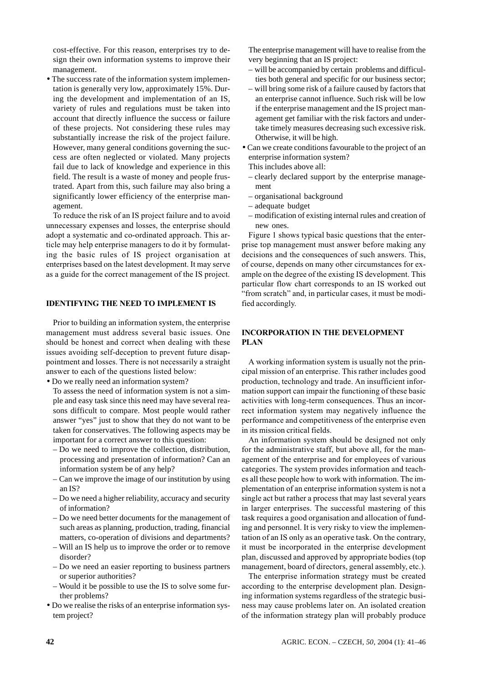cost-effective. For this reason, enterprises try to design their own information systems to improve their management.

• The success rate of the information system implementation is generally very low, approximately 15%. During the development and implementation of an IS, variety of rules and regulations must be taken into account that directly influence the success or failure of these projects. Not considering these rules may substantially increase the risk of the project failure. However, many general conditions governing the success are often neglected or violated. Many projects fail due to lack of knowledge and experience in this field. The result is a waste of money and people frustrated. Apart from this, such failure may also bring a significantly lower efficiency of the enterprise management.

To reduce the risk of an IS project failure and to avoid unnecessary expenses and losses, the enterprise should adopt a systematic and co-ordinated approach. This article may help enterprise managers to do it by formulating the basic rules of IS project organisation at enterprises based on the latest development. It may serve as a guide for the correct management of the IS project.

#### IDENTIFYING THE NEED TO IMPLEMENT IS

Prior to building an information system, the enterprise management must address several basic issues. One should be honest and correct when dealing with these issues avoiding self-deception to prevent future disappointment and losses. There is not necessarily a straight answer to each of the questions listed below:

• Do we really need an information system?

- To assess the need of information system is not a simple and easy task since this need may have several reasons difficult to compare. Most people would rather answer "yes" just to show that they do not want to be taken for conservatives. The following aspects may be important for a correct answer to this question:
- Do we need to improve the collection, distribution, processing and presentation of information? Can an information system be of any help?
- Can we improve the image of our institution by using an IS?
- Do we need a higher reliability, accuracy and security of information?
- Do we need better documents for the management of such areas as planning, production, trading, financial matters, co-operation of divisions and departments?
- Will an IS help us to improve the order or to remove disorder?
- Do we need an easier reporting to business partners or superior authorities?
- Would it be possible to use the IS to solve some further problems?
- Do we realise the risks of an enterprise information system project?

The enterprise management will have to realise from the very beginning that an IS project:

- will be accompanied by certain problems and difficulties both general and specific for our business sector;
- will bring some risk of a failure caused by factors that an enterprise cannot influence. Such risk will be low if the enterprise management and the IS project management get familiar with the risk factors and undertake timely measures decreasing such excessive risk. Otherwise, it will be high.
- Can we create conditions favourable to the project of an enterprise information system?

This includes above all:

- clearly declared support by the enterprise management
- organisational background
- adequate budget
- modification of existing internal rules and creation of new ones.

Figure 1 shows typical basic questions that the enterprise top management must answer before making any decisions and the consequences of such answers. This, of course, depends on many other circumstances for example on the degree of the existing IS development. This particular flow chart corresponds to an IS worked out "from scratch" and, in particular cases, it must be modified accordingly.

## INCORPORATION IN THE DEVELOPMENT PLAN

A working information system is usually not the principal mission of an enterprise. This rather includes good production, technology and trade. An insufficient information support can impair the functioning of these basic activities with long-term consequences. Thus an incorrect information system may negatively influence the performance and competitiveness of the enterprise even in its mission critical fields.

An information system should be designed not only for the administrative staff, but above all, for the management of the enterprise and for employees of various categories. The system provides information and teaches all these people how to work with information. The implementation of an enterprise information system is not a single act but rather a process that may last several years in larger enterprises. The successful mastering of this task requires a good organisation and allocation of funding and personnel. It is very risky to view the implementation of an IS only as an operative task. On the contrary, it must be incorporated in the enterprise development plan, discussed and approved by appropriate bodies (top management, board of directors, general assembly, etc.).

The enterprise information strategy must be created according to the enterprise development plan. Designing information systems regardless of the strategic business may cause problems later on. An isolated creation of the information strategy plan will probably produce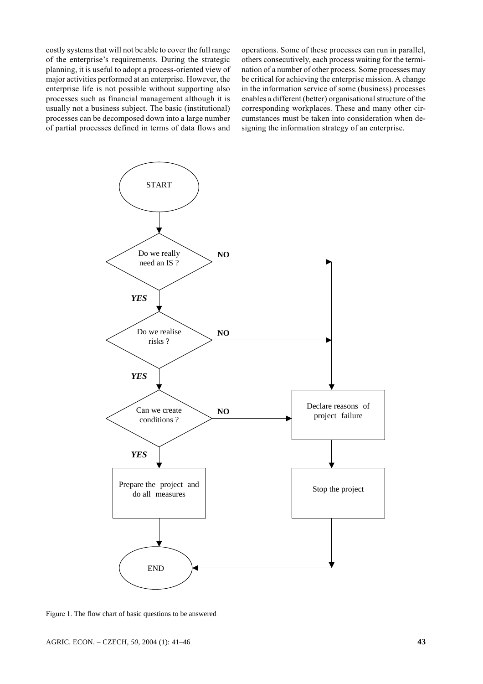costly systems that will not be able to cover the full range of the enterprise's requirements. During the strategic planning, it is useful to adopt a process-oriented view of major activities performed at an enterprise. However, the enterprise life is not possible without supporting also processes such as financial management although it is usually not a business subject. The basic (institutional) processes can be decomposed down into a large number of partial processes defined in terms of data flows and operations. Some of these processes can run in parallel, others consecutively, each process waiting for the termination of a number of other process. Some processes may be critical for achieving the enterprise mission. A change in the information service of some (business) processes enables a different (better) organisational structure of the corresponding workplaces. These and many other circumstances must be taken into consideration when designing the information strategy of an enterprise.



Figure 1. The flow chart of basic questions to be answered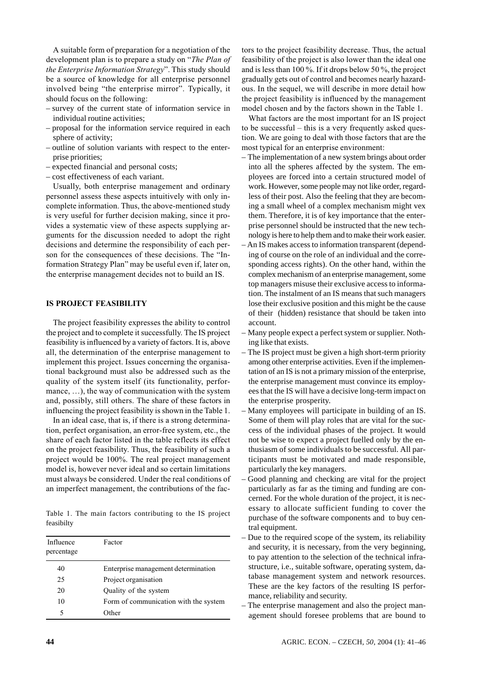A suitable form of preparation for a negotiation of the development plan is to prepare a study on "The Plan of the Enterprise Information Strategy". This study should be a source of knowledge for all enterprise personnel involved being "the enterprise mirror". Typically, it should focus on the following:

- survey of the current state of information service in individual routine activities;
- proposal for the information service required in each sphere of activity;
- outline of solution variants with respect to the enterprise priorities;
- expected financial and personal costs;
- cost effectiveness of each variant.

Usually, both enterprise management and ordinary personnel assess these aspects intuitively with only incomplete information. Thus, the above-mentioned study is very useful for further decision making, since it provides a systematic view of these aspects supplying arguments for the discussion needed to adopt the right decisions and determine the responsibility of each person for the consequences of these decisions. The "Information Strategy Plan" may be useful even if, later on, the enterprise management decides not to build an IS.

## IS PROJECT FEASIBILITY

The project feasibility expresses the ability to control the project and to complete it successfully. The IS project feasibility is influenced by a variety of factors. It is, above all, the determination of the enterprise management to implement this project. Issues concerning the organisational background must also be addressed such as the quality of the system itself (its functionality, performance, ...), the way of communication with the system and, possibly, still others. The share of these factors in influencing the project feasibility is shown in the Table 1.

In an ideal case, that is, if there is a strong determination, perfect organisation, an error-free system, etc., the share of each factor listed in the table reflects its effect on the project feasibility. Thus, the feasibility of such a project would be 100%. The real project management model is, however never ideal and so certain limitations must always be considered. Under the real conditions of an imperfect management, the contributions of the fac-

Table 1. The main factors contributing to the IS project feasibilty

| Influence<br>percentage | Factor                                |
|-------------------------|---------------------------------------|
| 40                      | Enterprise management determination   |
| 25                      | Project organisation                  |
| 20                      | Quality of the system                 |
| 10                      | Form of communication with the system |
| 5                       | Other                                 |

tors to the project feasibility decrease. Thus, the actual feasibility of the project is also lower than the ideal one and is less than 100 %. If it drops below 50 %, the project gradually gets out of control and becomes nearly hazardous. In the sequel, we will describe in more detail how the project feasibility is influenced by the management model chosen and by the factors shown in the Table 1.

What factors are the most important for an IS project to be successful – this is a very frequently asked question. We are going to deal with those factors that are the most typical for an enterprise environment:

- The implementation of a new system brings about order into all the spheres affected by the system. The employees are forced into a certain structured model of work. However, some people may not like order, regardless of their post. Also the feeling that they are becoming a small wheel of a complex mechanism might vex them. Therefore, it is of key importance that the enterprise personnel should be instructed that the new technology is here to help them and to make their work easier.
- An IS makes access to information transparent (depending of course on the role of an individual and the corresponding access rights). On the other hand, within the complex mechanism of an enterprise management, some top managers misuse their exclusive access to information. The instalment of an IS means that such managers lose their exclusive position and this might be the cause of their (hidden) resistance that should be taken into account.
- Many people expect a perfect system or supplier. Nothing like that exists.
- The IS project must be given a high short-term priority among other enterprise activities. Even if the implementation of an IS is not a primary mission of the enterprise, the enterprise management must convince its employees that the IS will have a decisive long-term impact on the enterprise prosperity.
- Many employees will participate in building of an IS. Some of them will play roles that are vital for the success of the individual phases of the project. It would not be wise to expect a project fuelled only by the enthusiasm of some individuals to be successful. All participants must be motivated and made responsible, particularly the key managers.
- Good planning and checking are vital for the project particularly as far as the timing and funding are concerned. For the whole duration of the project, it is necessary to allocate sufficient funding to cover the purchase of the software components and to buy central equipment.
- Due to the required scope of the system, its reliability and security, it is necessary, from the very beginning, to pay attention to the selection of the technical infrastructure, i.e., suitable software, operating system, database management system and network resources. These are the key factors of the resulting IS performance, reliability and security.
- The enterprise management and also the project management should foresee problems that are bound to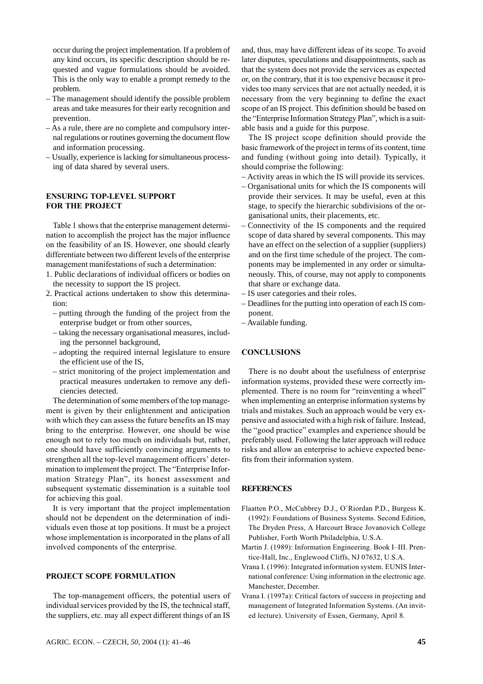occur during the project implementation. If a problem of any kind occurs, its specific description should be requested and vague formulations should be avoided. This is the only way to enable a prompt remedy to the problem.

- The management should identify the possible problem areas and take measures for their early recognition and prevention.
- As a rule, there are no complete and compulsory internal regulations or routines governing the document flow and information processing.
- Usually, experience is lacking for simultaneous processing of data shared by several users.

## ENSURING TOP-LEVEL SUPPORT FOR THE PROJECT

Table 1 shows that the enterprise management determination to accomplish the project has the major influence on the feasibility of an IS. However, one should clearly differentiate between two different levels of the enterprise management manifestations of such a determination:

- 1. Public declarations of individual officers or bodies on the necessity to support the IS project.
- 2. Practical actions undertaken to show this determination:
	- putting through the funding of the project from the enterprise budget or from other sources,
	- taking the necessary organisational measures, including the personnel background,
	- adopting the required internal legislature to ensure the efficient use of the IS,
	- strict monitoring of the project implementation and practical measures undertaken to remove any deficiencies detected.

The determination of some members of the top management is given by their enlightenment and anticipation with which they can assess the future benefits an IS may bring to the enterprise. However, one should be wise enough not to rely too much on individuals but, rather, one should have sufficiently convincing arguments to strengthen all the top-level management officers' determination to implement the project. The "Enterprise Information Strategy Plan", its honest assessment and subsequent systematic dissemination is a suitable tool for achieving this goal.

It is very important that the project implementation should not be dependent on the determination of individuals even those at top positions. It must be a project whose implementation is incorporated in the plans of all involved components of the enterprise.

### PROJECT SCOPE FORMULATION

The top-management officers, the potential users of individual services provided by the IS, the technical staff, the suppliers, etc. may all expect different things of an IS and, thus, may have different ideas of its scope. To avoid later disputes, speculations and disappointments, such as that the system does not provide the services as expected or, on the contrary, that it is too expensive because it provides too many services that are not actually needed, it is necessary from the very beginning to define the exact scope of an IS project. This definition should be based on the "Enterprise Information Strategy Plan", which is a suitable basis and a guide for this purpose.

The IS project scope definition should provide the basic framework of the project in terms of its content, time and funding (without going into detail). Typically, it should comprise the following:

- Activity areas in which the IS will provide its services.
- Organisational units for which the IS components will provide their services. It may be useful, even at this stage, to specify the hierarchic subdivisions of the organisational units, their placements, etc.
- Connectivity of the IS components and the required scope of data shared by several components. This may have an effect on the selection of a supplier (suppliers) and on the first time schedule of the project. The components may be implemented in any order or simultaneously. This, of course, may not apply to components that share or exchange data.
- IS user categories and their roles.
- Deadlines for the putting into operation of each IS component.
- Available funding.

## CONCLUSIONS

There is no doubt about the usefulness of enterprise information systems, provided these were correctly implemented. There is no room for "reinventing a wheel" when implementing an enterprise information systems by trials and mistakes. Such an approach would be very expensive and associated with a high risk of failure. Instead, the "good practice" examples and experience should be preferably used. Following the later approach will reduce risks and allow an enterprise to achieve expected benefits from their information system.

#### **REFERENCES**

- Flaatten P.O., McCubbrey D.J., O'Riordan P.D., Burgess K. (1992): Foundations of Business Systems. Second Edition, The Dryden Press, A Harcourt Brace Jovanovich College Publisher, Forth Worth Philadelphia, U.S.A.
- Martin J. (1989): Information Engineering. Book I–III. Prentice-Hall, Inc., Englewood Cliffs, NJ 07632, U.S.A.
- Vrana I. (1996): Integrated information system. EUNIS International conference: Using information in the electronic age. Manchester, December.
- Vrana I. (1997a): Critical factors of success in projecting and management of Integrated Information Systems. (An invited lecture). University of Essen, Germany, April 8.